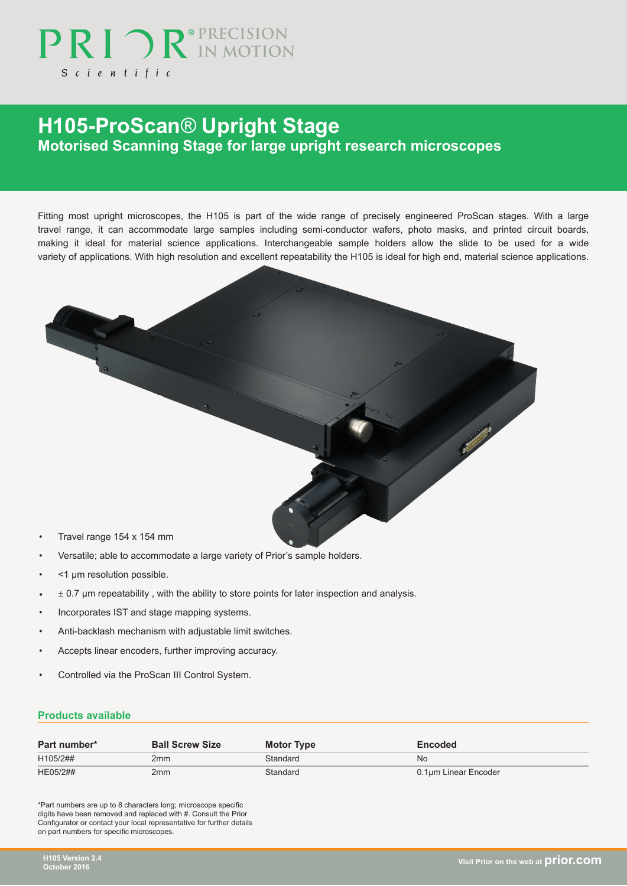## **PRECISION IN MOTION** Scientific

# **H105-ProScan**® **Upright Stage Motorised Scanning Stage for large upright research microscopes**

Fitting most upright microscopes, the H105 is part of the wide range of precisely engineered ProScan stages. With a large travel range, it can accommodate large samples including semi-conductor wafers, photo masks, and printed circuit boards, making it ideal for material science applications. Interchangeable sample holders allow the slide to be used for a wide variety of applications. With high resolution and excellent repeatability the H105 is ideal for high end, material science applications.



- Versatile; able to accommodate a large variety of Prior's sample holders.
- <1 µm resolution possible.
- $\pm$  0.7 µm repeatability, with the ability to store points for later inspection and analysis.
- Incorporates IST and stage mapping systems.
- Anti-backlash mechanism with adjustable limit switches.
- Accepts linear encoders, further improving accuracy.
- Controlled via the ProScan III Control System.

### **Products available**

| Part number* | <b>Ball Screw Size</b> | <b>Motor Type</b> | Encoded              |
|--------------|------------------------|-------------------|----------------------|
| H105/2##     | 2mm                    | Standard          | No                   |
| HE05/2##     | 2 <sub>mm</sub>        | Standard          | 0.1um Linear Encoder |

\*Part numbers are up to 8 characters long; microscope specific digits have been removed and replaced with #. Consult the Prior Configurator or contact your local representative for further details on part numbers for specific microscopes.